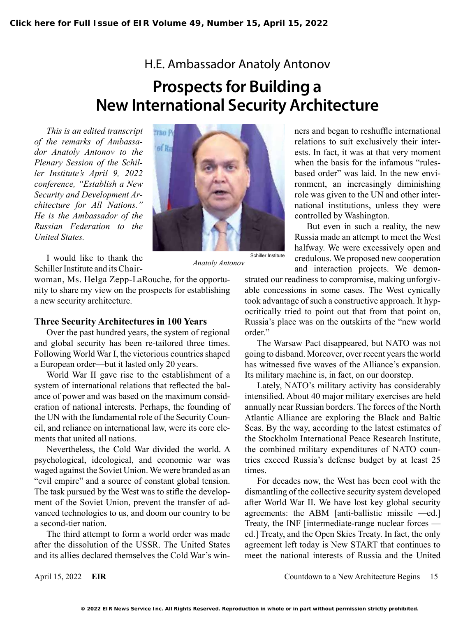## H.E. Ambassador Anatoly Antonov

## **Prospects for Building a New International Security Architecture**

*This is an edited transcript of the remarks of Ambassador Anatoly Antonov to the Plenary Session of the Schiller Institute's April 9, 2022 conference, "Establish a New Security and Development Architecture for All Nations." He is the Ambassador of the Russian Federation to the United States.*



I would like to thank the Schiller Institute and its Chair-

woman, Ms. Helga Zepp-LaRouche, for the opportunity to share my view on the prospects for establishing a new security architecture.

## **Three Security Architectures in 100 Years**

Over the past hundred years, the system of regional and global security has been re-tailored three times. Following World War I, the victorious countries shaped a European order—but it lasted only 20 years.

World War II gave rise to the establishment of a system of international relations that reflected the balance of power and was based on the maximum consideration of national interests. Perhaps, the founding of the UN with the fundamental role of the Security Council, and reliance on international law, were its core elements that united all nations.

Nevertheless, the Cold War divided the world. A psychological, ideological, and economic war was waged against the Soviet Union. We were branded as an "evil empire" and a source of constant global tension. The task pursued by the West was to stifle the development of the Soviet Union, prevent the transfer of advanced technologies to us, and doom our country to be a second-tier nation.

The third attempt to form a world order was made after the dissolution of the USSR. The United States and its allies declared themselves the Cold War's win-

*Anatoly Antonov*

ners and began to reshuffle international relations to suit exclusively their interests. In fact, it was at that very moment when the basis for the infamous "rulesbased order" was laid. In the new environment, an increasingly diminishing role was given to the UN and other international institutions, unless they were controlled by Washington.

But even in such a reality, the new Russia made an attempt to meet the West halfway. We were excessively open and credulous. We proposed new cooperation and interaction projects. We demon-

strated our readiness to compromise, making unforgivable concessions in some cases. The West cynically took advantage of such a constructive approach. It hypocritically tried to point out that from that point on, Russia's place was on the outskirts of the "new world order."

The Warsaw Pact disappeared, but NATO was not going to disband. Moreover, over recent years the world has witnessed five waves of the Alliance's expansion. Its military machine is, in fact, on our doorstep.

Lately, NATO's military activity has considerably intensified. About 40 major military exercises are held annually near Russian borders. The forces of the North Atlantic Alliance are exploring the Black and Baltic Seas. By the way, according to the latest estimates of the Stockholm International Peace Research Institute, the combined military expenditures of NATO countries exceed Russia's defense budget by at least 25 times.

For decades now, the West has been cool with the dismantling of the collective security system developed after World War II. We have lost key global security agreements: the ABM [anti-ballistic missile —ed.] Treaty, the INF [intermediate-range nuclear forces ed.] Treaty, and the Open Skies Treaty. In fact, the only agreement left today is New START that continues to meet the national interests of Russia and the United